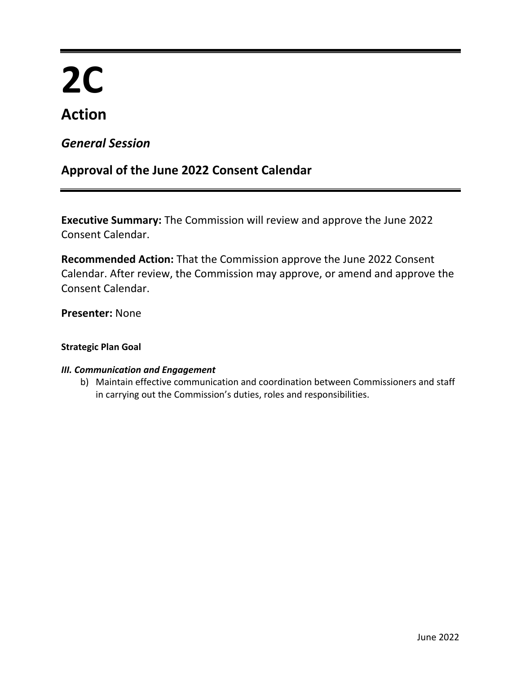# **2C**

# **Action**

# *General Session*

# **Approval of the June 2022 Consent Calendar**

**Executive Summary:** The Commission will review and approve the June 2022 Consent Calendar.

**Recommended Action:** That the Commission approve the June 2022 Consent Calendar. After review, the Commission may approve, or amend and approve the Consent Calendar.

**Presenter:** None

# **Strategic Plan Goal**

# *III. Communication and Engagement*

b) Maintain effective communication and coordination between Commissioners and staff in carrying out the Commission's duties, roles and responsibilities.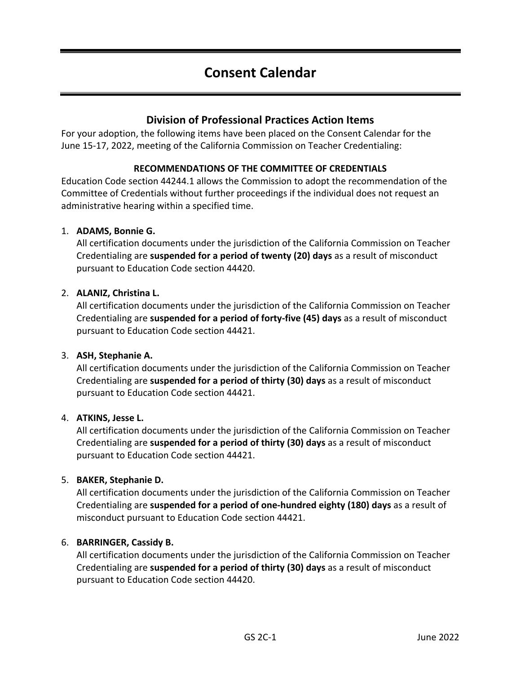# **Consent Calendar**

# **Division of Professional Practices Action Items**

For your adoption, the following items have been placed on the Consent Calendar for the June 15-17, 2022, meeting of the California Commission on Teacher Credentialing:

# **RECOMMENDATIONS OF THE COMMITTEE OF CREDENTIALS**

Education Code section 44244.1 allows the Commission to adopt the recommendation of the Committee of Credentials without further proceedings if the individual does not request an administrative hearing within a specified time.

#### 1. **ADAMS, Bonnie G.**

All certification documents under the jurisdiction of the California Commission on Teacher Credentialing are **suspended for a period of twenty (20) days** as a result of misconduct pursuant to Education Code section 44420.

# 2. **ALANIZ, Christina L.**

All certification documents under the jurisdiction of the California Commission on Teacher Credentialing are **suspended for a period of forty-five (45) days** as a result of misconduct pursuant to Education Code section 44421.

#### 3. **ASH, Stephanie A.**

All certification documents under the jurisdiction of the California Commission on Teacher Credentialing are **suspended for a period of thirty (30) days** as a result of misconduct pursuant to Education Code section 44421.

#### 4. **ATKINS, Jesse L.**

All certification documents under the jurisdiction of the California Commission on Teacher Credentialing are **suspended for a period of thirty (30) days** as a result of misconduct pursuant to Education Code section 44421.

#### 5. **BAKER, Stephanie D.**

All certification documents under the jurisdiction of the California Commission on Teacher Credentialing are **suspended for a period of one-hundred eighty (180) days** as a result of misconduct pursuant to Education Code section 44421.

#### 6. **BARRINGER, Cassidy B.**

All certification documents under the jurisdiction of the California Commission on Teacher Credentialing are **suspended for a period of thirty (30) days** as a result of misconduct pursuant to Education Code section 44420.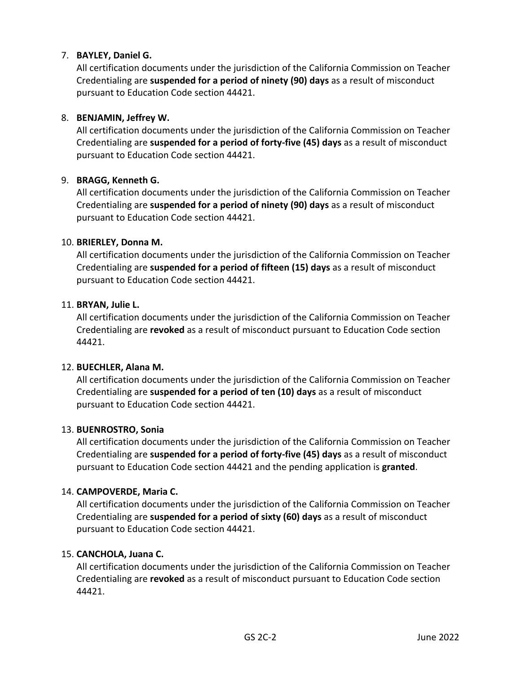# 7. **BAYLEY, Daniel G.**

All certification documents under the jurisdiction of the California Commission on Teacher Credentialing are **suspended for a period of ninety (90) days** as a result of misconduct pursuant to Education Code section 44421.

# 8. **BENJAMIN, Jeffrey W.**

All certification documents under the jurisdiction of the California Commission on Teacher Credentialing are **suspended for a period of forty-five (45) days** as a result of misconduct pursuant to Education Code section 44421.

# 9. **BRAGG, Kenneth G.**

All certification documents under the jurisdiction of the California Commission on Teacher Credentialing are **suspended for a period of ninety (90) days** as a result of misconduct pursuant to Education Code section 44421.

#### 10. **BRIERLEY, Donna M.**

All certification documents under the jurisdiction of the California Commission on Teacher Credentialing are **suspended for a period of fifteen (15) days** as a result of misconduct pursuant to Education Code section 44421.

#### 11. **BRYAN, Julie L.**

All certification documents under the jurisdiction of the California Commission on Teacher Credentialing are **revoked** as a result of misconduct pursuant to Education Code section 44421.

#### 12. **BUECHLER, Alana M.**

All certification documents under the jurisdiction of the California Commission on Teacher Credentialing are **suspended for a period of ten (10) days** as a result of misconduct pursuant to Education Code section 44421.

#### 13. **BUENROSTRO, Sonia**

All certification documents under the jurisdiction of the California Commission on Teacher Credentialing are **suspended for a period of forty-five (45) days** as a result of misconduct pursuant to Education Code section 44421 and the pending application is **granted**.

#### 14. **CAMPOVERDE, Maria C.**

All certification documents under the jurisdiction of the California Commission on Teacher Credentialing are **suspended for a period of sixty (60) days** as a result of misconduct pursuant to Education Code section 44421.

#### 15. **CANCHOLA, Juana C.**

All certification documents under the jurisdiction of the California Commission on Teacher Credentialing are **revoked** as a result of misconduct pursuant to Education Code section 44421.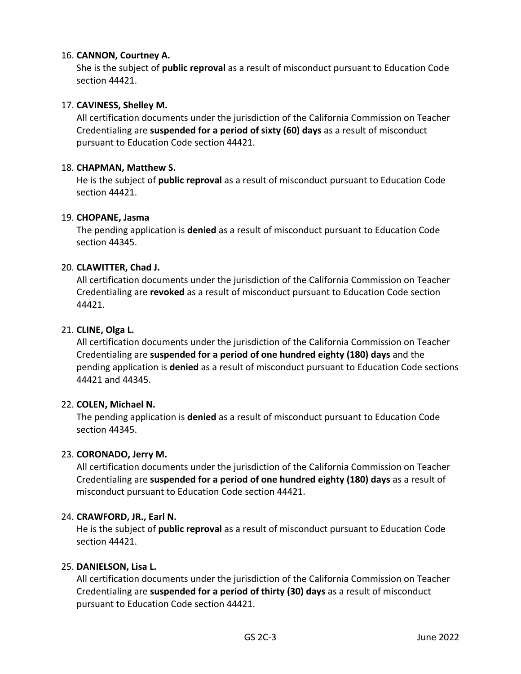# 16. **CANNON, Courtney A.**

She is the subject of **public reproval** as a result of misconduct pursuant to Education Code section 44421.

# 17. **CAVINESS, Shelley M.**

All certification documents under the jurisdiction of the California Commission on Teacher Credentialing are **suspended for a period of sixty (60) days** as a result of misconduct pursuant to Education Code section 44421.

# 18. **CHAPMAN, Matthew S.**

He is the subject of **public reproval** as a result of misconduct pursuant to Education Code section 44421.

#### 19. **CHOPANE, Jasma**

The pending application is **denied** as a result of misconduct pursuant to Education Code section 44345.

# 20. **CLAWITTER, Chad J.**

All certification documents under the jurisdiction of the California Commission on Teacher Credentialing are **revoked** as a result of misconduct pursuant to Education Code section 44421.

#### 21. **CLINE, Olga L.**

All certification documents under the jurisdiction of the California Commission on Teacher Credentialing are **suspended for a period of one hundred eighty (180) days** and the pending application is **denied** as a result of misconduct pursuant to Education Code sections 44421 and 44345.

#### 22. **COLEN, Michael N.**

The pending application is **denied** as a result of misconduct pursuant to Education Code section 44345.

#### 23. **CORONADO, Jerry M.**

All certification documents under the jurisdiction of the California Commission on Teacher Credentialing are **suspended for a period of one hundred eighty (180) days** as a result of misconduct pursuant to Education Code section 44421.

#### 24. **CRAWFORD, JR., Earl N.**

He is the subject of **public reproval** as a result of misconduct pursuant to Education Code section 44421.

#### 25. **DANIELSON, Lisa L.**

All certification documents under the jurisdiction of the California Commission on Teacher Credentialing are **suspended for a period of thirty (30) days** as a result of misconduct pursuant to Education Code section 44421.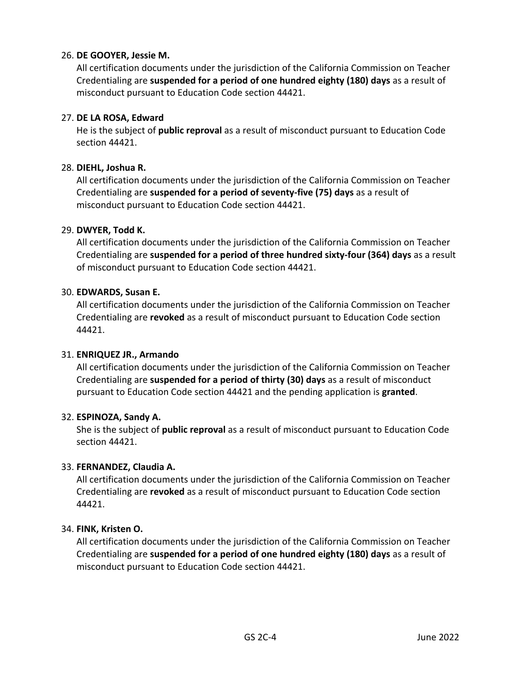# 26. **DE GOOYER, Jessie M.**

All certification documents under the jurisdiction of the California Commission on Teacher Credentialing are **suspended for a period of one hundred eighty (180) days** as a result of misconduct pursuant to Education Code section 44421.

#### 27. **DE LA ROSA, Edward**

He is the subject of **public reproval** as a result of misconduct pursuant to Education Code section 44421.

#### 28. **DIEHL, Joshua R.**

All certification documents under the jurisdiction of the California Commission on Teacher Credentialing are **suspended for a period of seventy-five (75) days** as a result of misconduct pursuant to Education Code section 44421.

#### 29. **DWYER, Todd K.**

All certification documents under the jurisdiction of the California Commission on Teacher Credentialing are **suspended for a period of three hundred sixty-four (364) days** as a result of misconduct pursuant to Education Code section 44421.

#### 30. **EDWARDS, Susan E.**

All certification documents under the jurisdiction of the California Commission on Teacher Credentialing are **revoked** as a result of misconduct pursuant to Education Code section 44421.

#### 31. **ENRIQUEZ JR., Armando**

All certification documents under the jurisdiction of the California Commission on Teacher Credentialing are **suspended for a period of thirty (30) days** as a result of misconduct pursuant to Education Code section 44421 and the pending application is **granted**.

#### 32. **ESPINOZA, Sandy A.**

She is the subject of **public reproval** as a result of misconduct pursuant to Education Code section 44421.

#### 33. **FERNANDEZ, Claudia A.**

All certification documents under the jurisdiction of the California Commission on Teacher Credentialing are **revoked** as a result of misconduct pursuant to Education Code section 44421.

#### 34. **FINK, Kristen O.**

All certification documents under the jurisdiction of the California Commission on Teacher Credentialing are **suspended for a period of one hundred eighty (180) days** as a result of misconduct pursuant to Education Code section 44421.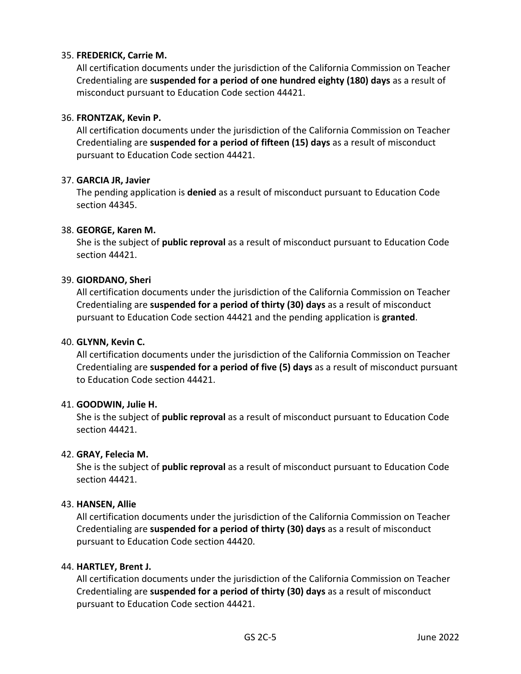# 35. **FREDERICK, Carrie M.**

All certification documents under the jurisdiction of the California Commission on Teacher Credentialing are **suspended for a period of one hundred eighty (180) days** as a result of misconduct pursuant to Education Code section 44421.

#### 36. **FRONTZAK, Kevin P.**

All certification documents under the jurisdiction of the California Commission on Teacher Credentialing are **suspended for a period of fifteen (15) days** as a result of misconduct pursuant to Education Code section 44421.

#### 37. **GARCIA JR, Javier**

The pending application is **denied** as a result of misconduct pursuant to Education Code section 44345.

#### 38. **GEORGE, Karen M.**

She is the subject of **public reproval** as a result of misconduct pursuant to Education Code section 44421.

#### 39. **GIORDANO, Sheri**

All certification documents under the jurisdiction of the California Commission on Teacher Credentialing are **suspended for a period of thirty (30) days** as a result of misconduct pursuant to Education Code section 44421 and the pending application is **granted**.

#### 40. **GLYNN, Kevin C.**

All certification documents under the jurisdiction of the California Commission on Teacher Credentialing are **suspended for a period of five (5) days** as a result of misconduct pursuant to Education Code section 44421.

#### 41. **GOODWIN, Julie H.**

She is the subject of **public reproval** as a result of misconduct pursuant to Education Code section 44421.

#### 42. **GRAY, Felecia M.**

She is the subject of **public reproval** as a result of misconduct pursuant to Education Code section 44421.

#### 43. **HANSEN, Allie**

All certification documents under the jurisdiction of the California Commission on Teacher Credentialing are **suspended for a period of thirty (30) days** as a result of misconduct pursuant to Education Code section 44420.

#### 44. **HARTLEY, Brent J.**

All certification documents under the jurisdiction of the California Commission on Teacher Credentialing are **suspended for a period of thirty (30) days** as a result of misconduct pursuant to Education Code section 44421.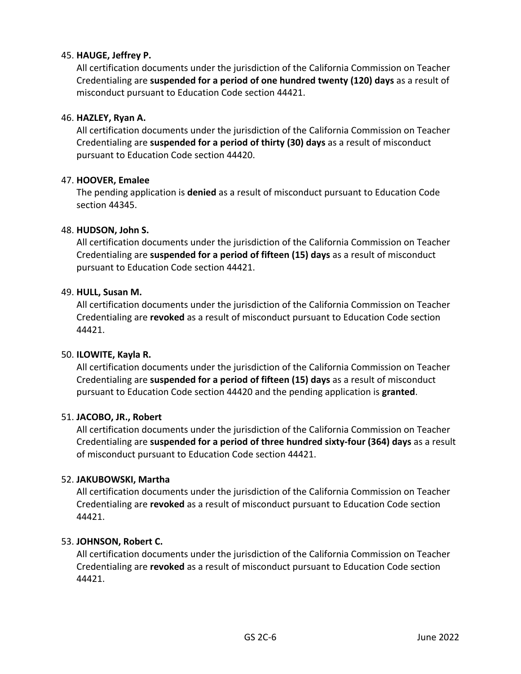# 45. **HAUGE, Jeffrey P.**

All certification documents under the jurisdiction of the California Commission on Teacher Credentialing are **suspended for a period of one hundred twenty (120) days** as a result of misconduct pursuant to Education Code section 44421.

#### 46. **HAZLEY, Ryan A.**

All certification documents under the jurisdiction of the California Commission on Teacher Credentialing are **suspended for a period of thirty (30) days** as a result of misconduct pursuant to Education Code section 44420.

#### 47. **HOOVER, Emalee**

The pending application is **denied** as a result of misconduct pursuant to Education Code section 44345.

# 48. **HUDSON, John S.**

All certification documents under the jurisdiction of the California Commission on Teacher Credentialing are **suspended for a period of fifteen (15) days** as a result of misconduct pursuant to Education Code section 44421.

#### 49. **HULL, Susan M.**

All certification documents under the jurisdiction of the California Commission on Teacher Credentialing are **revoked** as a result of misconduct pursuant to Education Code section 44421.

#### 50. **ILOWITE, Kayla R.**

All certification documents under the jurisdiction of the California Commission on Teacher Credentialing are **suspended for a period of fifteen (15) days** as a result of misconduct pursuant to Education Code section 44420 and the pending application is **granted**.

#### 51. **JACOBO, JR., Robert**

All certification documents under the jurisdiction of the California Commission on Teacher Credentialing are **suspended for a period of three hundred sixty-four (364) days** as a result of misconduct pursuant to Education Code section 44421.

#### 52. **JAKUBOWSKI, Martha**

All certification documents under the jurisdiction of the California Commission on Teacher Credentialing are **revoked** as a result of misconduct pursuant to Education Code section 44421.

#### 53. **JOHNSON, Robert C.**

All certification documents under the jurisdiction of the California Commission on Teacher Credentialing are **revoked** as a result of misconduct pursuant to Education Code section 44421.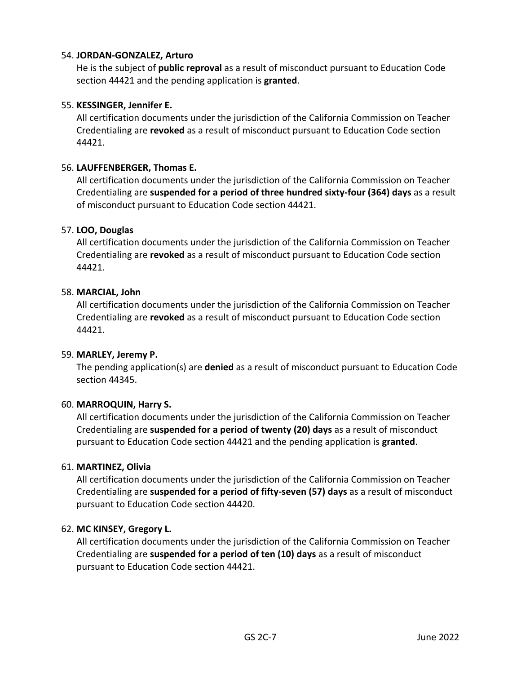# 54. **JORDAN-GONZALEZ, Arturo**

He is the subject of **public reproval** as a result of misconduct pursuant to Education Code section 44421 and the pending application is **granted**.

# 55. **KESSINGER, Jennifer E.**

All certification documents under the jurisdiction of the California Commission on Teacher Credentialing are **revoked** as a result of misconduct pursuant to Education Code section 44421.

# 56. **LAUFFENBERGER, Thomas E.**

All certification documents under the jurisdiction of the California Commission on Teacher Credentialing are **suspended for a period of three hundred sixty-four (364) days** as a result of misconduct pursuant to Education Code section 44421.

# 57. **LOO, Douglas**

All certification documents under the jurisdiction of the California Commission on Teacher Credentialing are **revoked** as a result of misconduct pursuant to Education Code section 44421.

#### 58. **MARCIAL, John**

All certification documents under the jurisdiction of the California Commission on Teacher Credentialing are **revoked** as a result of misconduct pursuant to Education Code section 44421.

#### 59. **MARLEY, Jeremy P.**

The pending application(s) are **denied** as a result of misconduct pursuant to Education Code section 44345.

#### 60. **MARROQUIN, Harry S.**

All certification documents under the jurisdiction of the California Commission on Teacher Credentialing are **suspended for a period of twenty (20) days** as a result of misconduct pursuant to Education Code section 44421 and the pending application is **granted**.

#### 61. **MARTINEZ, Olivia**

All certification documents under the jurisdiction of the California Commission on Teacher Credentialing are **suspended for a period of fifty-seven (57) days** as a result of misconduct pursuant to Education Code section 44420.

#### 62. **MC KINSEY, Gregory L.**

All certification documents under the jurisdiction of the California Commission on Teacher Credentialing are **suspended for a period of ten (10) days** as a result of misconduct pursuant to Education Code section 44421.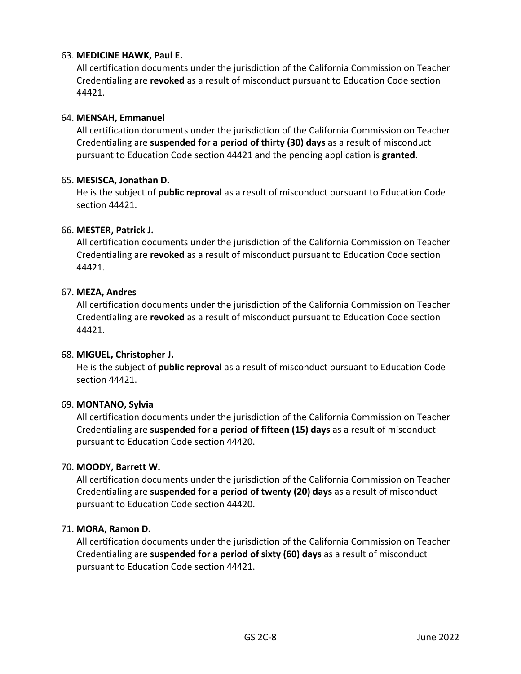# 63. **MEDICINE HAWK, Paul E.**

All certification documents under the jurisdiction of the California Commission on Teacher Credentialing are **revoked** as a result of misconduct pursuant to Education Code section 44421.

#### 64. **MENSAH, Emmanuel**

All certification documents under the jurisdiction of the California Commission on Teacher Credentialing are **suspended for a period of thirty (30) days** as a result of misconduct pursuant to Education Code section 44421 and the pending application is **granted**.

#### 65. **MESISCA, Jonathan D.**

He is the subject of **public reproval** as a result of misconduct pursuant to Education Code section 44421.

#### 66. **MESTER, Patrick J.**

All certification documents under the jurisdiction of the California Commission on Teacher Credentialing are **revoked** as a result of misconduct pursuant to Education Code section 44421.

#### 67. **MEZA, Andres**

All certification documents under the jurisdiction of the California Commission on Teacher Credentialing are **revoked** as a result of misconduct pursuant to Education Code section 44421.

#### 68. **MIGUEL, Christopher J.**

He is the subject of **public reproval** as a result of misconduct pursuant to Education Code section 44421.

#### 69. **MONTANO, Sylvia**

All certification documents under the jurisdiction of the California Commission on Teacher Credentialing are **suspended for a period of fifteen (15) days** as a result of misconduct pursuant to Education Code section 44420.

#### 70. **MOODY, Barrett W.**

All certification documents under the jurisdiction of the California Commission on Teacher Credentialing are **suspended for a period of twenty (20) days** as a result of misconduct pursuant to Education Code section 44420.

#### 71. **MORA, Ramon D.**

All certification documents under the jurisdiction of the California Commission on Teacher Credentialing are **suspended for a period of sixty (60) days** as a result of misconduct pursuant to Education Code section 44421.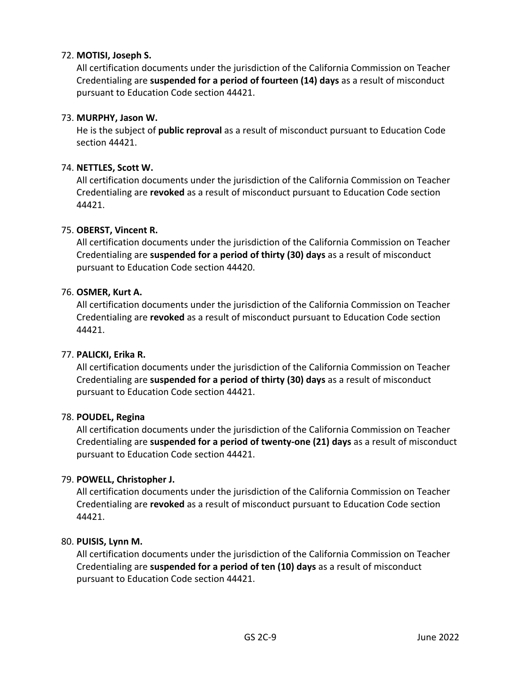# 72. **MOTISI, Joseph S.**

All certification documents under the jurisdiction of the California Commission on Teacher Credentialing are **suspended for a period of fourteen (14) days** as a result of misconduct pursuant to Education Code section 44421.

# 73. **MURPHY, Jason W.**

He is the subject of **public reproval** as a result of misconduct pursuant to Education Code section 44421.

# 74. **NETTLES, Scott W.**

All certification documents under the jurisdiction of the California Commission on Teacher Credentialing are **revoked** as a result of misconduct pursuant to Education Code section 44421.

# 75. **OBERST, Vincent R.**

All certification documents under the jurisdiction of the California Commission on Teacher Credentialing are **suspended for a period of thirty (30) days** as a result of misconduct pursuant to Education Code section 44420.

# 76. **OSMER, Kurt A.**

All certification documents under the jurisdiction of the California Commission on Teacher Credentialing are **revoked** as a result of misconduct pursuant to Education Code section 44421.

#### 77. **PALICKI, Erika R.**

All certification documents under the jurisdiction of the California Commission on Teacher Credentialing are **suspended for a period of thirty (30) days** as a result of misconduct pursuant to Education Code section 44421.

#### 78. **POUDEL, Regina**

All certification documents under the jurisdiction of the California Commission on Teacher Credentialing are **suspended for a period of twenty-one (21) days** as a result of misconduct pursuant to Education Code section 44421.

#### 79. **POWELL, Christopher J.**

All certification documents under the jurisdiction of the California Commission on Teacher Credentialing are **revoked** as a result of misconduct pursuant to Education Code section 44421.

#### 80. **PUISIS, Lynn M.**

All certification documents under the jurisdiction of the California Commission on Teacher Credentialing are **suspended for a period of ten (10) days** as a result of misconduct pursuant to Education Code section 44421.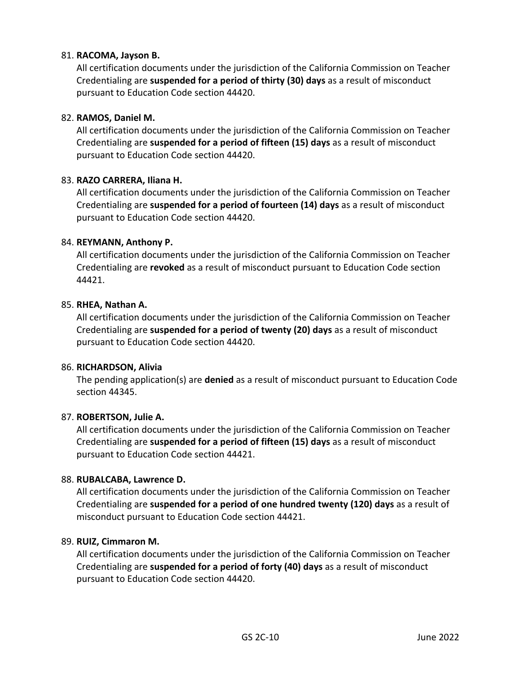# 81. **RACOMA, Jayson B.**

All certification documents under the jurisdiction of the California Commission on Teacher Credentialing are **suspended for a period of thirty (30) days** as a result of misconduct pursuant to Education Code section 44420.

# 82. **RAMOS, Daniel M.**

All certification documents under the jurisdiction of the California Commission on Teacher Credentialing are **suspended for a period of fifteen (15) days** as a result of misconduct pursuant to Education Code section 44420.

#### 83. **RAZO CARRERA, Iliana H.**

All certification documents under the jurisdiction of the California Commission on Teacher Credentialing are **suspended for a period of fourteen (14) days** as a result of misconduct pursuant to Education Code section 44420.

#### 84. **REYMANN, Anthony P.**

All certification documents under the jurisdiction of the California Commission on Teacher Credentialing are **revoked** as a result of misconduct pursuant to Education Code section 44421.

#### 85. **RHEA, Nathan A.**

All certification documents under the jurisdiction of the California Commission on Teacher Credentialing are **suspended for a period of twenty (20) days** as a result of misconduct pursuant to Education Code section 44420.

#### 86. **RICHARDSON, Alivia**

The pending application(s) are **denied** as a result of misconduct pursuant to Education Code section 44345.

#### 87. **ROBERTSON, Julie A.**

All certification documents under the jurisdiction of the California Commission on Teacher Credentialing are **suspended for a period of fifteen (15) days** as a result of misconduct pursuant to Education Code section 44421.

#### 88. **RUBALCABA, Lawrence D.**

All certification documents under the jurisdiction of the California Commission on Teacher Credentialing are **suspended for a period of one hundred twenty (120) days** as a result of misconduct pursuant to Education Code section 44421.

#### 89. **RUIZ, Cimmaron M.**

All certification documents under the jurisdiction of the California Commission on Teacher Credentialing are **suspended for a period of forty (40) days** as a result of misconduct pursuant to Education Code section 44420.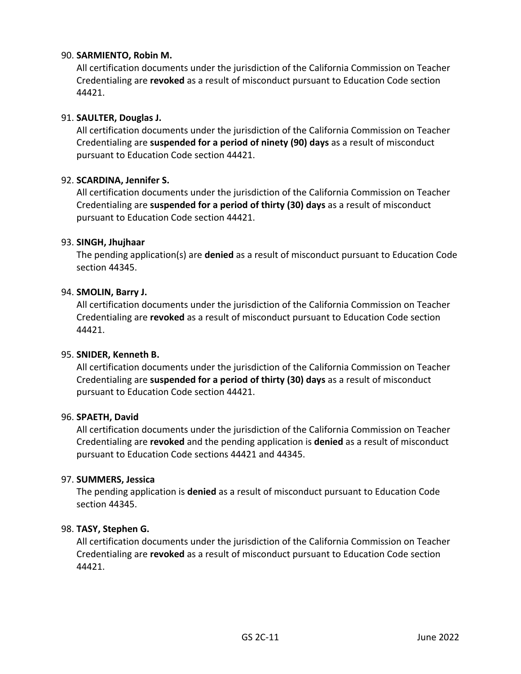# 90. **SARMIENTO, Robin M.**

All certification documents under the jurisdiction of the California Commission on Teacher Credentialing are **revoked** as a result of misconduct pursuant to Education Code section 44421.

#### 91. **SAULTER, Douglas J.**

All certification documents under the jurisdiction of the California Commission on Teacher Credentialing are **suspended for a period of ninety (90) days** as a result of misconduct pursuant to Education Code section 44421.

#### 92. **SCARDINA, Jennifer S.**

All certification documents under the jurisdiction of the California Commission on Teacher Credentialing are **suspended for a period of thirty (30) days** as a result of misconduct pursuant to Education Code section 44421.

#### 93. **SINGH, Jhujhaar**

The pending application(s) are **denied** as a result of misconduct pursuant to Education Code section 44345.

#### 94. **SMOLIN, Barry J.**

All certification documents under the jurisdiction of the California Commission on Teacher Credentialing are **revoked** as a result of misconduct pursuant to Education Code section 44421.

#### 95. **SNIDER, Kenneth B.**

All certification documents under the jurisdiction of the California Commission on Teacher Credentialing are **suspended for a period of thirty (30) days** as a result of misconduct pursuant to Education Code section 44421.

#### 96. **SPAETH, David**

All certification documents under the jurisdiction of the California Commission on Teacher Credentialing are **revoked** and the pending application is **denied** as a result of misconduct pursuant to Education Code sections 44421 and 44345.

#### 97. **SUMMERS, Jessica**

The pending application is **denied** as a result of misconduct pursuant to Education Code section 44345.

#### 98. **TASY, Stephen G.**

All certification documents under the jurisdiction of the California Commission on Teacher Credentialing are **revoked** as a result of misconduct pursuant to Education Code section 44421.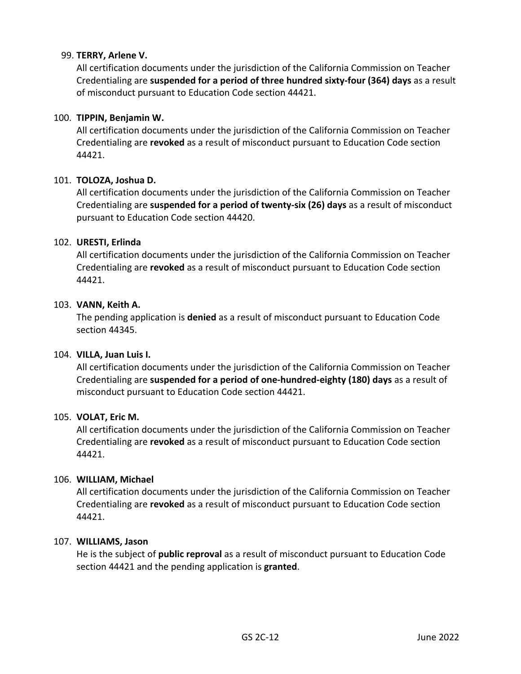# 99. **TERRY, Arlene V.**

All certification documents under the jurisdiction of the California Commission on Teacher Credentialing are **suspended for a period of three hundred sixty-four (364) days** as a result of misconduct pursuant to Education Code section 44421.

#### 100. **TIPPIN, Benjamin W.**

All certification documents under the jurisdiction of the California Commission on Teacher Credentialing are **revoked** as a result of misconduct pursuant to Education Code section 44421.

#### 101. **TOLOZA, Joshua D.**

All certification documents under the jurisdiction of the California Commission on Teacher Credentialing are **suspended for a period of twenty-six (26) days** as a result of misconduct pursuant to Education Code section 44420.

#### 102. **URESTI, Erlinda**

All certification documents under the jurisdiction of the California Commission on Teacher Credentialing are **revoked** as a result of misconduct pursuant to Education Code section 44421.

#### 103. **VANN, Keith A.**

The pending application is **denied** as a result of misconduct pursuant to Education Code section 44345.

#### 104. **VILLA, Juan Luis I.**

All certification documents under the jurisdiction of the California Commission on Teacher Credentialing are **suspended for a period of one-hundred-eighty (180) days** as a result of misconduct pursuant to Education Code section 44421.

#### 105. **VOLAT, Eric M.**

All certification documents under the jurisdiction of the California Commission on Teacher Credentialing are **revoked** as a result of misconduct pursuant to Education Code section 44421.

#### 106. **WILLIAM, Michael**

All certification documents under the jurisdiction of the California Commission on Teacher Credentialing are **revoked** as a result of misconduct pursuant to Education Code section 44421.

#### 107. **WILLIAMS, Jason**

He is the subject of **public reproval** as a result of misconduct pursuant to Education Code section 44421 and the pending application is **granted**.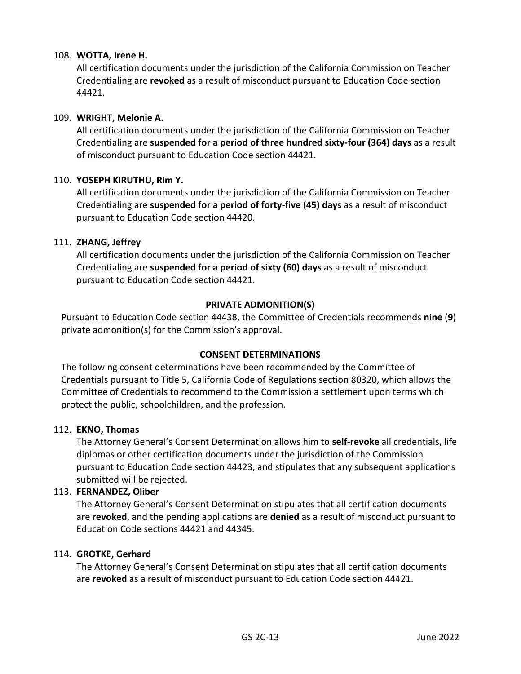# 108. **WOTTA, Irene H.**

All certification documents under the jurisdiction of the California Commission on Teacher Credentialing are **revoked** as a result of misconduct pursuant to Education Code section 44421.

#### 109. **WRIGHT, Melonie A.**

All certification documents under the jurisdiction of the California Commission on Teacher Credentialing are **suspended for a period of three hundred sixty-four (364) days** as a result of misconduct pursuant to Education Code section 44421.

#### 110. **YOSEPH KIRUTHU, Rim Y.**

All certification documents under the jurisdiction of the California Commission on Teacher Credentialing are **suspended for a period of forty-five (45) days** as a result of misconduct pursuant to Education Code section 44420.

#### 111. **ZHANG, Jeffrey**

All certification documents under the jurisdiction of the California Commission on Teacher Credentialing are **suspended for a period of sixty (60) days** as a result of misconduct pursuant to Education Code section 44421.

#### **PRIVATE ADMONITION(S)**

Pursuant to Education Code section 44438, the Committee of Credentials recommends **nine** (**9**) private admonition(s) for the Commission's approval.

#### **CONSENT DETERMINATIONS**

The following consent determinations have been recommended by the Committee of Credentials pursuant to Title 5, California Code of Regulations section 80320, which allows the Committee of Credentials to recommend to the Commission a settlement upon terms which protect the public, schoolchildren, and the profession.

#### 112. **EKNO, Thomas**

The Attorney General's Consent Determination allows him to **self-revoke** all credentials, life diplomas or other certification documents under the jurisdiction of the Commission pursuant to Education Code section 44423, and stipulates that any subsequent applications submitted will be rejected.

#### 113. **FERNANDEZ, Oliber**

The Attorney General's Consent Determination stipulates that all certification documents are **revoked**, and the pending applications are **denied** as a result of misconduct pursuant to Education Code sections 44421 and 44345.

#### 114. **GROTKE, Gerhard**

The Attorney General's Consent Determination stipulates that all certification documents are **revoked** as a result of misconduct pursuant to Education Code section 44421.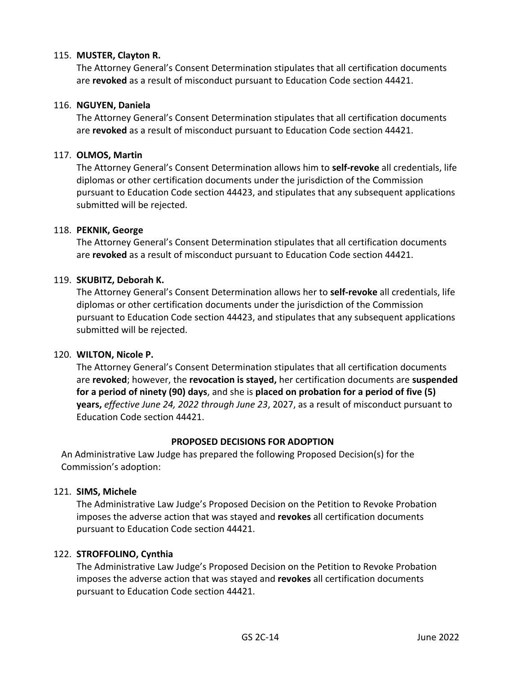#### 115. **MUSTER, Clayton R.**

The Attorney General's Consent Determination stipulates that all certification documents are **revoked** as a result of misconduct pursuant to Education Code section 44421.

#### 116. **NGUYEN, Daniela**

The Attorney General's Consent Determination stipulates that all certification documents are **revoked** as a result of misconduct pursuant to Education Code section 44421.

#### 117. **OLMOS, Martin**

The Attorney General's Consent Determination allows him to **self-revoke** all credentials, life diplomas or other certification documents under the jurisdiction of the Commission pursuant to Education Code section 44423, and stipulates that any subsequent applications submitted will be rejected.

#### 118. **PEKNIK, George**

The Attorney General's Consent Determination stipulates that all certification documents are **revoked** as a result of misconduct pursuant to Education Code section 44421.

#### 119. **SKUBITZ, Deborah K.**

The Attorney General's Consent Determination allows her to **self-revoke** all credentials, life diplomas or other certification documents under the jurisdiction of the Commission pursuant to Education Code section 44423, and stipulates that any subsequent applications submitted will be rejected.

#### 120. **WILTON, Nicole P.**

The Attorney General's Consent Determination stipulates that all certification documents are **revoked**; however, the **revocation is stayed,** her certification documents are **suspended for a period of ninety (90) days**, and she is **placed on probation for a period of five (5) years,** *effective June 24, 2022 through June 23*, 2027, as a result of misconduct pursuant to Education Code section 44421.

#### **PROPOSED DECISIONS FOR ADOPTION**

An Administrative Law Judge has prepared the following Proposed Decision(s) for the Commission's adoption:

#### 121. **SIMS, Michele**

The Administrative Law Judge's Proposed Decision on the Petition to Revoke Probation imposes the adverse action that was stayed and **revokes** all certification documents pursuant to Education Code section 44421.

#### 122. **STROFFOLINO, Cynthia**

The Administrative Law Judge's Proposed Decision on the Petition to Revoke Probation imposes the adverse action that was stayed and **revokes** all certification documents pursuant to Education Code section 44421.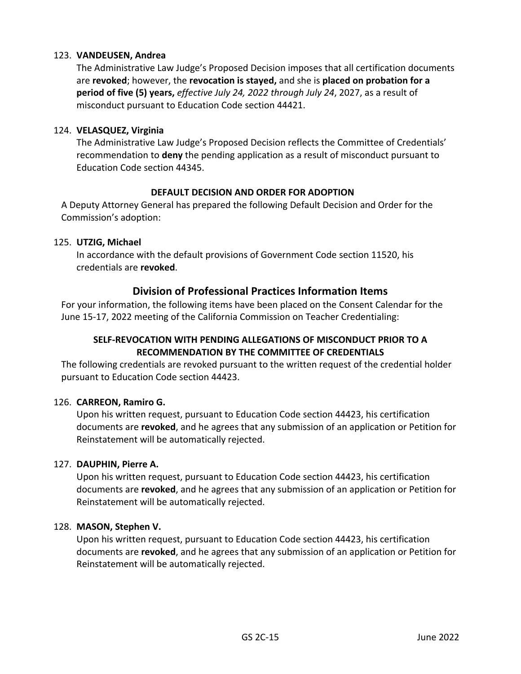# 123. **VANDEUSEN, Andrea**

The Administrative Law Judge's Proposed Decision imposes that all certification documents are **revoked**; however, the **revocation is stayed,** and she is **placed on probation for a period of five (5) years,** *effective July 24, 2022 through July 24*, 2027, as a result of misconduct pursuant to Education Code section 44421.

#### 124. **VELASQUEZ, Virginia**

The Administrative Law Judge's Proposed Decision reflects the Committee of Credentials' recommendation to **deny** the pending application as a result of misconduct pursuant to Education Code section 44345.

# **DEFAULT DECISION AND ORDER FOR ADOPTION**

A Deputy Attorney General has prepared the following Default Decision and Order for the Commission's adoption:

#### 125. **UTZIG, Michael**

In accordance with the default provisions of Government Code section 11520, his credentials are **revoked**.

# **Division of Professional Practices Information Items**

For your information, the following items have been placed on the Consent Calendar for the June 15-17, 2022 meeting of the California Commission on Teacher Credentialing:

# **SELF-REVOCATION WITH PENDING ALLEGATIONS OF MISCONDUCT PRIOR TO A RECOMMENDATION BY THE COMMITTEE OF CREDENTIALS**

The following credentials are revoked pursuant to the written request of the credential holder pursuant to Education Code section 44423.

#### 126. **CARREON, Ramiro G.**

Upon his written request, pursuant to Education Code section 44423, his certification documents are **revoked**, and he agrees that any submission of an application or Petition for Reinstatement will be automatically rejected.

#### 127. **DAUPHIN, Pierre A.**

Upon his written request, pursuant to Education Code section 44423, his certification documents are **revoked**, and he agrees that any submission of an application or Petition for Reinstatement will be automatically rejected.

#### 128. **MASON, Stephen V.**

Upon his written request, pursuant to Education Code section 44423, his certification documents are **revoked**, and he agrees that any submission of an application or Petition for Reinstatement will be automatically rejected.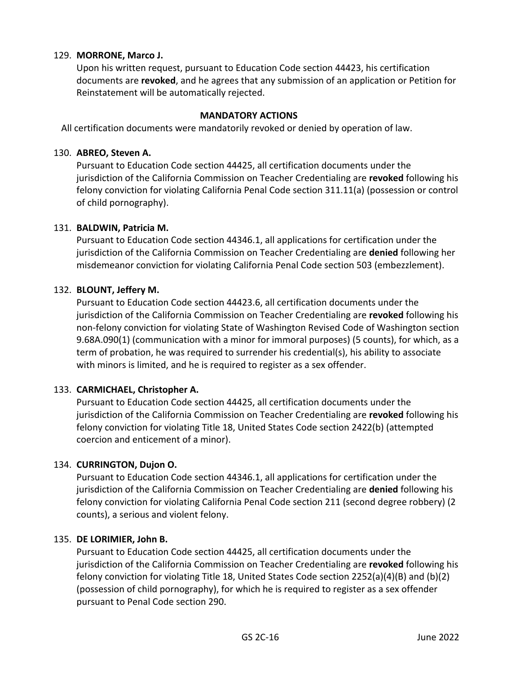# 129. **MORRONE, Marco J.**

Upon his written request, pursuant to Education Code section 44423, his certification documents are **revoked**, and he agrees that any submission of an application or Petition for Reinstatement will be automatically rejected.

#### **MANDATORY ACTIONS**

All certification documents were mandatorily revoked or denied by operation of law.

#### 130. **ABREO, Steven A.**

Pursuant to Education Code section 44425, all certification documents under the jurisdiction of the California Commission on Teacher Credentialing are **revoked** following his felony conviction for violating California Penal Code section 311.11(a) (possession or control of child pornography).

#### 131. **BALDWIN, Patricia M.**

Pursuant to Education Code section 44346.1, all applications for certification under the jurisdiction of the California Commission on Teacher Credentialing are **denied** following her misdemeanor conviction for violating California Penal Code section 503 (embezzlement).

# 132. **BLOUNT, Jeffery M.**

Pursuant to Education Code section 44423.6, all certification documents under the jurisdiction of the California Commission on Teacher Credentialing are **revoked** following his non-felony conviction for violating State of Washington Revised Code of Washington section 9.68A.090(1) (communication with a minor for immoral purposes) (5 counts), for which, as a term of probation, he was required to surrender his credential(s), his ability to associate with minors is limited, and he is required to register as a sex offender.

# 133. **CARMICHAEL, Christopher A.**

Pursuant to Education Code section 44425, all certification documents under the jurisdiction of the California Commission on Teacher Credentialing are **revoked** following his felony conviction for violating Title 18, United States Code section 2422(b) (attempted coercion and enticement of a minor).

#### 134. **CURRINGTON, Dujon O.**

Pursuant to Education Code section 44346.1, all applications for certification under the jurisdiction of the California Commission on Teacher Credentialing are **denied** following his felony conviction for violating California Penal Code section 211 (second degree robbery) (2 counts), a serious and violent felony.

#### 135. **DE LORIMIER, John B.**

Pursuant to Education Code section 44425, all certification documents under the jurisdiction of the California Commission on Teacher Credentialing are **revoked** following his felony conviction for violating Title 18, United States Code section 2252(a)(4)(B) and (b)(2) (possession of child pornography), for which he is required to register as a sex offender pursuant to Penal Code section 290.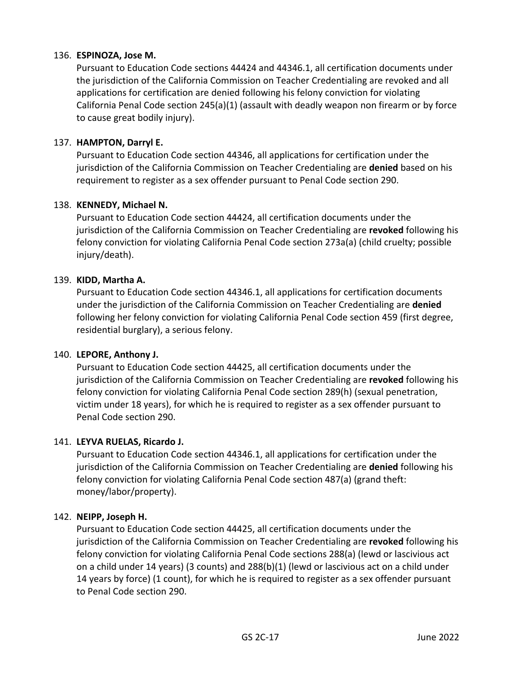# 136. **ESPINOZA, Jose M.**

Pursuant to Education Code sections 44424 and 44346.1, all certification documents under the jurisdiction of the California Commission on Teacher Credentialing are revoked and all applications for certification are denied following his felony conviction for violating California Penal Code section 245(a)(1) (assault with deadly weapon non firearm or by force to cause great bodily injury).

# 137. **HAMPTON, Darryl E.**

Pursuant to Education Code section 44346, all applications for certification under the jurisdiction of the California Commission on Teacher Credentialing are **denied** based on his requirement to register as a sex offender pursuant to Penal Code section 290.

# 138. **KENNEDY, Michael N.**

Pursuant to Education Code section 44424, all certification documents under the jurisdiction of the California Commission on Teacher Credentialing are **revoked** following his felony conviction for violating California Penal Code section 273a(a) (child cruelty; possible injury/death).

#### 139. **KIDD, Martha A.**

Pursuant to Education Code section 44346.1, all applications for certification documents under the jurisdiction of the California Commission on Teacher Credentialing are **denied**  following her felony conviction for violating California Penal Code section 459 (first degree, residential burglary), a serious felony.

#### 140. **LEPORE, Anthony J.**

Pursuant to Education Code section 44425, all certification documents under the jurisdiction of the California Commission on Teacher Credentialing are **revoked** following his felony conviction for violating California Penal Code section 289(h) (sexual penetration, victim under 18 years), for which he is required to register as a sex offender pursuant to Penal Code section 290.

#### 141. **LEYVA RUELAS, Ricardo J.**

Pursuant to Education Code section 44346.1, all applications for certification under the jurisdiction of the California Commission on Teacher Credentialing are **denied** following his felony conviction for violating California Penal Code section 487(a) (grand theft: money/labor/property).

#### 142. **NEIPP, Joseph H.**

Pursuant to Education Code section 44425, all certification documents under the jurisdiction of the California Commission on Teacher Credentialing are **revoked** following his felony conviction for violating California Penal Code sections 288(a) (lewd or lascivious act on a child under 14 years) (3 counts) and 288(b)(1) (lewd or lascivious act on a child under 14 years by force) (1 count), for which he is required to register as a sex offender pursuant to Penal Code section 290.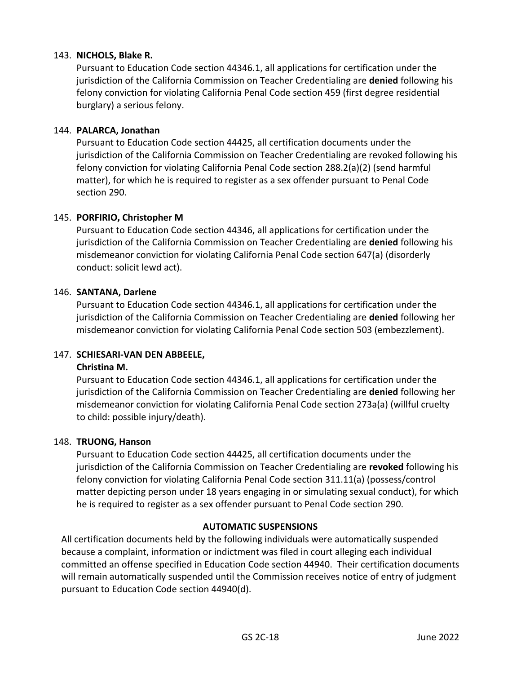# 143. **NICHOLS, Blake R.**

Pursuant to Education Code section 44346.1, all applications for certification under the jurisdiction of the California Commission on Teacher Credentialing are **denied** following his felony conviction for violating California Penal Code section 459 (first degree residential burglary) a serious felony.

#### 144. **PALARCA, Jonathan**

Pursuant to Education Code section 44425, all certification documents under the jurisdiction of the California Commission on Teacher Credentialing are revoked following his felony conviction for violating California Penal Code section 288.2(a)(2) (send harmful matter), for which he is required to register as a sex offender pursuant to Penal Code section 290.

#### 145. **PORFIRIO, Christopher M**

Pursuant to Education Code section 44346, all applications for certification under the jurisdiction of the California Commission on Teacher Credentialing are **denied** following his misdemeanor conviction for violating California Penal Code section 647(a) (disorderly conduct: solicit lewd act).

#### 146. **SANTANA, Darlene**

Pursuant to Education Code section 44346.1, all applications for certification under the jurisdiction of the California Commission on Teacher Credentialing are **denied** following her misdemeanor conviction for violating California Penal Code section 503 (embezzlement).

#### 147. **SCHIESARI-VAN DEN ABBEELE,**

#### **Christina M.**

Pursuant to Education Code section 44346.1, all applications for certification under the jurisdiction of the California Commission on Teacher Credentialing are **denied** following her misdemeanor conviction for violating California Penal Code section 273a(a) (willful cruelty to child: possible injury/death).

#### 148. **TRUONG, Hanson**

Pursuant to Education Code section 44425, all certification documents under the jurisdiction of the California Commission on Teacher Credentialing are **revoked** following his felony conviction for violating California Penal Code section 311.11(a) (possess/control matter depicting person under 18 years engaging in or simulating sexual conduct), for which he is required to register as a sex offender pursuant to Penal Code section 290.

#### **AUTOMATIC SUSPENSIONS**

All certification documents held by the following individuals were automatically suspended because a complaint, information or indictment was filed in court alleging each individual committed an offense specified in Education Code section 44940. Their certification documents will remain automatically suspended until the Commission receives notice of entry of judgment pursuant to Education Code section 44940(d).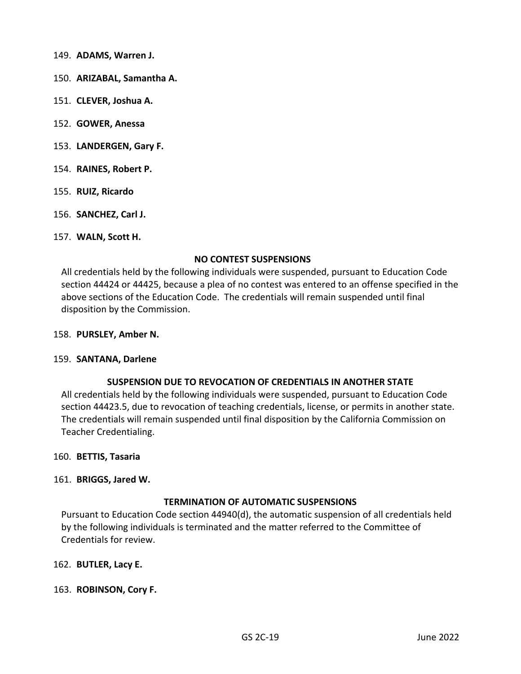- 149. **ADAMS, Warren J.**
- 150. **ARIZABAL, Samantha A.**
- 151. **CLEVER, Joshua A.**
- 152. **GOWER, Anessa**
- 153. **LANDERGEN, Gary F.**
- 154. **RAINES, Robert P.**
- 155. **RUIZ, Ricardo**
- 156. **SANCHEZ, Carl J.**
- 157. **WALN, Scott H.**

#### **NO CONTEST SUSPENSIONS**

All credentials held by the following individuals were suspended, pursuant to Education Code section 44424 or 44425, because a plea of no contest was entered to an offense specified in the above sections of the Education Code. The credentials will remain suspended until final disposition by the Commission.

#### 158. **PURSLEY, Amber N.**

#### 159. **SANTANA, Darlene**

#### **SUSPENSION DUE TO REVOCATION OF CREDENTIALS IN ANOTHER STATE**

All credentials held by the following individuals were suspended, pursuant to Education Code section 44423.5, due to revocation of teaching credentials, license, or permits in another state. The credentials will remain suspended until final disposition by the California Commission on Teacher Credentialing.

#### 160. **BETTIS, Tasaria**

#### 161. **BRIGGS, Jared W.**

#### **TERMINATION OF AUTOMATIC SUSPENSIONS**

Pursuant to Education Code section 44940(d), the automatic suspension of all credentials held by the following individuals is terminated and the matter referred to the Committee of Credentials for review.

162. **BUTLER, Lacy E.**

#### 163. **ROBINSON, Cory F.**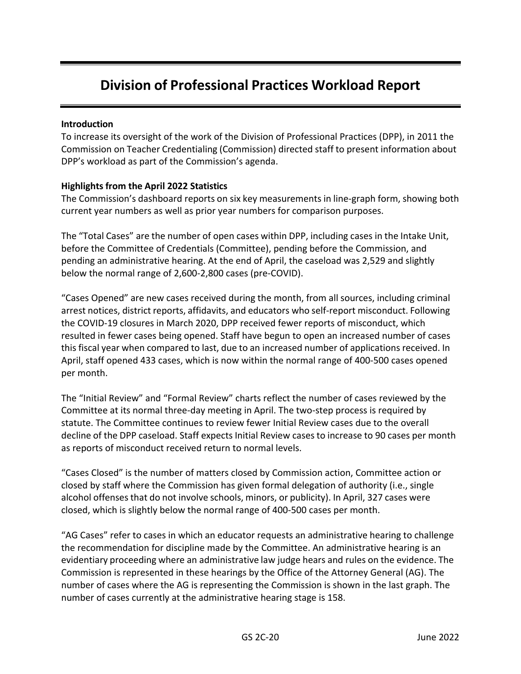# **Division of Professional Practices Workload Report**

# **Introduction**

To increase its oversight of the work of the Division of Professional Practices (DPP), in 2011 the Commission on Teacher Credentialing (Commission) directed staff to present information about DPP's workload as part of the Commission's agenda.

# **Highlights from the April 2022 Statistics**

The Commission's dashboard reports on six key measurements in line-graph form, showing both current year numbers as well as prior year numbers for comparison purposes.

The "Total Cases" are the number of open cases within DPP, including cases in the Intake Unit, before the Committee of Credentials (Committee), pending before the Commission, and pending an administrative hearing. At the end of April, the caseload was 2,529 and slightly below the normal range of 2,600-2,800 cases (pre-COVID).

"Cases Opened" are new cases received during the month, from all sources, including criminal arrest notices, district reports, affidavits, and educators who self-report misconduct. Following the COVID-19 closures in March 2020, DPP received fewer reports of misconduct, which resulted in fewer cases being opened. Staff have begun to open an increased number of cases this fiscal year when compared to last, due to an increased number of applications received. In April, staff opened 433 cases, which is now within the normal range of 400-500 cases opened per month.

The "Initial Review" and "Formal Review" charts reflect the number of cases reviewed by the Committee at its normal three-day meeting in April. The two-step process is required by statute. The Committee continues to review fewer Initial Review cases due to the overall decline of the DPP caseload. Staff expects Initial Review casesto increase to 90 cases per month as reports of misconduct received return to normal levels.

"Cases Closed" is the number of matters closed by Commission action, Committee action or closed by staff where the Commission has given formal delegation of authority (i.e., single alcohol offensesthat do not involve schools, minors, or publicity). In April, 327 cases were closed, which is slightly below the normal range of 400-500 cases per month.

"AG Cases" refer to cases in which an educator requests an administrative hearing to challenge the recommendation for discipline made by the Committee. An administrative hearing is an evidentiary proceeding where an administrative law judge hears and rules on the evidence. The Commission is represented in these hearings by the Office of the Attorney General (AG). The number of cases where the AG is representing the Commission is shown in the last graph. The number of cases currently at the administrative hearing stage is 158.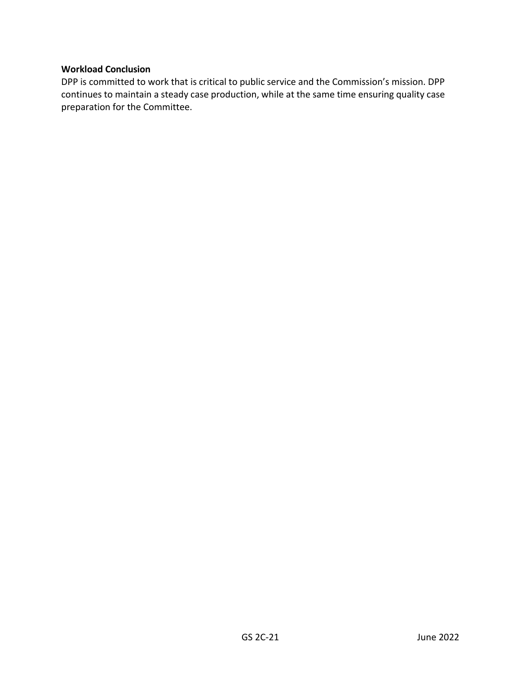## **Workload Conclusion**

DPP is committed to work that is critical to public service and the Commission's mission. DPP continues to maintain a steady case production, while at the same time ensuring quality case preparation for the Committee.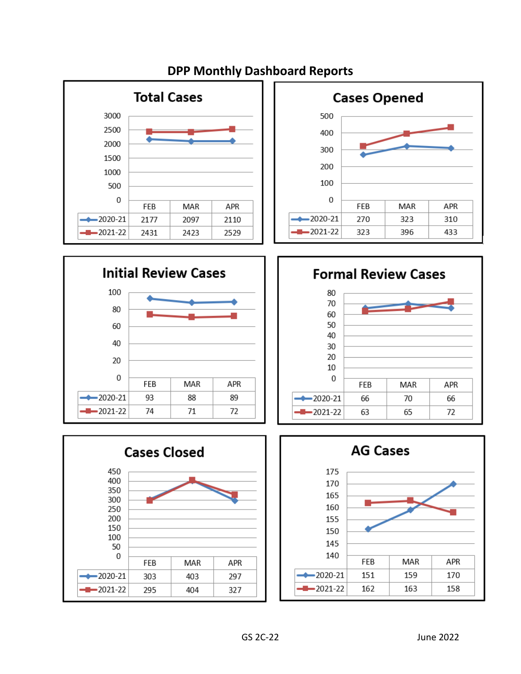

#### **Cases Opened** 500 400 300 200 100 0 FEB MAR APR -2020-21 270 323 310 2021-22 323 396 433









# **DPP Monthly Dashboard Reports**